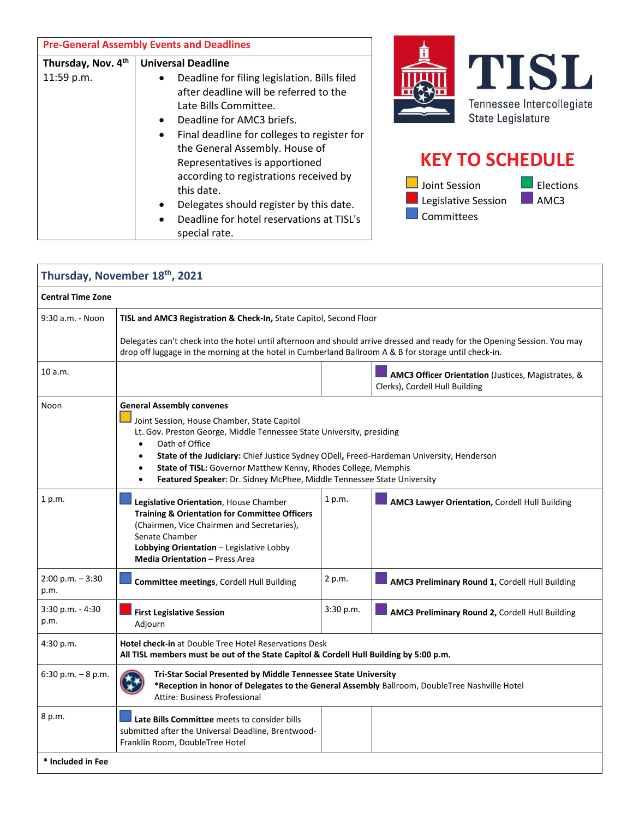| <b>Pre-General Assembly Events and Deadlines</b> |                                                                                                                                                                                                                                                                                                                                                                                                                                                               |                                                                                                                                                            |
|--------------------------------------------------|---------------------------------------------------------------------------------------------------------------------------------------------------------------------------------------------------------------------------------------------------------------------------------------------------------------------------------------------------------------------------------------------------------------------------------------------------------------|------------------------------------------------------------------------------------------------------------------------------------------------------------|
| Thursday, Nov. 4th<br>11:59 p.m.                 | <b>Universal Deadline</b><br>Deadline for filing legislation. Bills filed<br>after deadline will be referred to the<br>Late Bills Committee.<br>Deadline for AMC3 briefs.<br>Final deadline for colleges to register for<br>the General Assembly. House of<br>Representatives is apportioned<br>according to registrations received by<br>this date.<br>Delegates should register by this date.<br>Deadline for hotel reservations at TISL's<br>special rate. | ISI<br>Tennessee Intercollegiate<br>State Legislature<br><b>KEY TO SCHEDULE</b><br>Joint Session<br>Elections<br>Legislative Session<br>AMC3<br>Committees |

| Thursday, November 18th, 2021 |                                                                                                                                                                                                                                                                                                                                                                                                                                              |           |                                                                                      |  |
|-------------------------------|----------------------------------------------------------------------------------------------------------------------------------------------------------------------------------------------------------------------------------------------------------------------------------------------------------------------------------------------------------------------------------------------------------------------------------------------|-----------|--------------------------------------------------------------------------------------|--|
| <b>Central Time Zone</b>      |                                                                                                                                                                                                                                                                                                                                                                                                                                              |           |                                                                                      |  |
| 9:30 a.m. - Noon              | TISL and AMC3 Registration & Check-In, State Capitol, Second Floor                                                                                                                                                                                                                                                                                                                                                                           |           |                                                                                      |  |
|                               | Delegates can't check into the hotel until afternoon and should arrive dressed and ready for the Opening Session. You may<br>drop off luggage in the morning at the hotel in Cumberland Ballroom A & B for storage until check-in.                                                                                                                                                                                                           |           |                                                                                      |  |
| 10 a.m.                       |                                                                                                                                                                                                                                                                                                                                                                                                                                              |           | AMC3 Officer Orientation (Justices, Magistrates, &<br>Clerks), Cordell Hull Building |  |
| Noon                          | <b>General Assembly convenes</b><br>Joint Session, House Chamber, State Capitol<br>Lt. Gov. Preston George, Middle Tennessee State University, presiding<br>Oath of Office<br>$\bullet$<br>State of the Judiciary: Chief Justice Sydney ODell, Freed-Hardeman University, Henderson<br>$\bullet$<br>State of TISL: Governor Matthew Kenny, Rhodes College, Memphis<br>Featured Speaker: Dr. Sidney McPhee, Middle Tennessee State University |           |                                                                                      |  |
| 1 p.m.                        | Legislative Orientation, House Chamber<br><b>Training &amp; Orientation for Committee Officers</b><br>(Chairmen, Vice Chairmen and Secretaries),<br>Senate Chamber<br>Lobbying Orientation - Legislative Lobby<br><b>Media Orientation - Press Area</b>                                                                                                                                                                                      | 1 p.m.    | AMC3 Lawyer Orientation, Cordell Hull Building                                       |  |
| $2:00$ p.m. $-3:30$<br>p.m.   | Committee meetings, Cordell Hull Building                                                                                                                                                                                                                                                                                                                                                                                                    | 2 p.m.    | AMC3 Preliminary Round 1, Cordell Hull Building                                      |  |
| $3:30$ p.m. $-4:30$<br>p.m.   | <b>First Legislative Session</b><br>Adjourn                                                                                                                                                                                                                                                                                                                                                                                                  | 3:30 p.m. | AMC3 Preliminary Round 2, Cordell Hull Building                                      |  |
| 4:30 p.m.                     | Hotel check-in at Double Tree Hotel Reservations Desk<br>All TISL members must be out of the State Capitol & Cordell Hull Building by 5:00 p.m.                                                                                                                                                                                                                                                                                              |           |                                                                                      |  |
| $6:30$ p.m. $-8$ p.m.         | Tri-Star Social Presented by Middle Tennessee State University<br>*Reception in honor of Delegates to the General Assembly Ballroom, DoubleTree Nashville Hotel<br>Attire: Business Professional                                                                                                                                                                                                                                             |           |                                                                                      |  |
| 8 p.m.                        | Late Bills Committee meets to consider bills<br>submitted after the Universal Deadline, Brentwood-<br>Franklin Room, DoubleTree Hotel                                                                                                                                                                                                                                                                                                        |           |                                                                                      |  |
| * Included in Fee             |                                                                                                                                                                                                                                                                                                                                                                                                                                              |           |                                                                                      |  |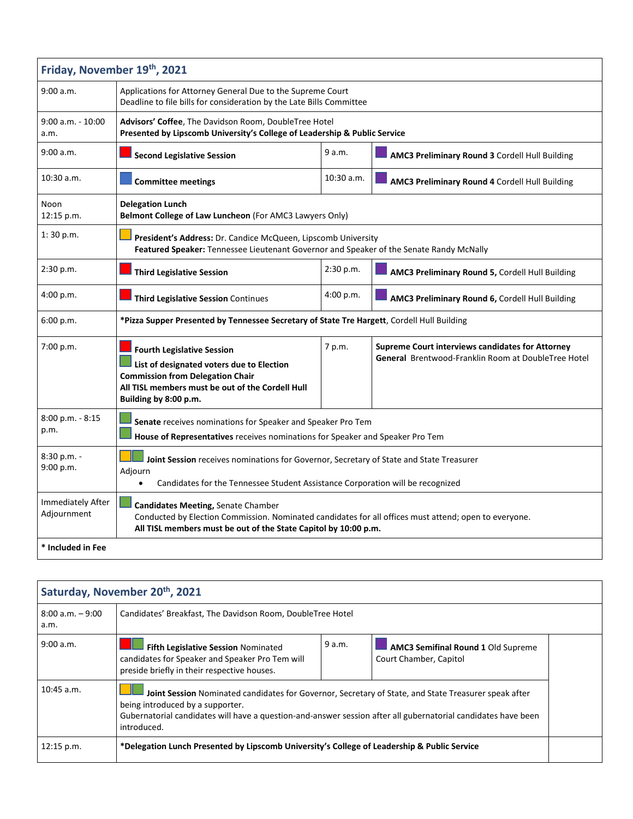| Friday, November 19th, 2021      |                                                                                                                                                                                                                |            |                                                                                                         |
|----------------------------------|----------------------------------------------------------------------------------------------------------------------------------------------------------------------------------------------------------------|------------|---------------------------------------------------------------------------------------------------------|
| 9:00 a.m.                        | Applications for Attorney General Due to the Supreme Court<br>Deadline to file bills for consideration by the Late Bills Committee                                                                             |            |                                                                                                         |
| $9:00$ a.m. - $10:00$<br>a.m.    | Advisors' Coffee, The Davidson Room, DoubleTree Hotel<br>Presented by Lipscomb University's College of Leadership & Public Service                                                                             |            |                                                                                                         |
| 9:00 a.m.                        | <b>Second Legislative Session</b>                                                                                                                                                                              | 9 a.m.     | AMC3 Preliminary Round 3 Cordell Hull Building                                                          |
| 10:30 a.m.                       | <b>Committee meetings</b>                                                                                                                                                                                      | 10:30 a.m. | AMC3 Preliminary Round 4 Cordell Hull Building                                                          |
| Noon<br>12:15 p.m.               | <b>Delegation Lunch</b><br>Belmont College of Law Luncheon (For AMC3 Lawyers Only)                                                                                                                             |            |                                                                                                         |
| 1:30 p.m.                        | <b>President's Address:</b> Dr. Candice McQueen, Lipscomb University<br>Featured Speaker: Tennessee Lieutenant Governor and Speaker of the Senate Randy McNally                                                |            |                                                                                                         |
| 2:30 p.m.                        | <b>Third Legislative Session</b>                                                                                                                                                                               | 2:30 p.m.  | AMC3 Preliminary Round 5, Cordell Hull Building                                                         |
| 4:00 p.m.                        | Third Legislative Session Continues                                                                                                                                                                            | 4:00 p.m.  | AMC3 Preliminary Round 6, Cordell Hull Building                                                         |
| 6:00 p.m.                        | *Pizza Supper Presented by Tennessee Secretary of State Tre Hargett, Cordell Hull Building                                                                                                                     |            |                                                                                                         |
| 7:00 p.m.                        | <b>Fourth Legislative Session</b><br>List of designated voters due to Election<br><b>Commission from Delegation Chair</b><br>All TISL members must be out of the Cordell Hull<br>Building by 8:00 p.m.         | 7 p.m.     | Supreme Court interviews candidates for Attorney<br>General Brentwood-Franklin Room at DoubleTree Hotel |
| 8:00 p.m. - 8:15<br>p.m.         | Senate receives nominations for Speaker and Speaker Pro Tem<br>House of Representatives receives nominations for Speaker and Speaker Pro Tem                                                                   |            |                                                                                                         |
| 8:30 p.m. -<br>9:00 p.m.         | Joint Session receives nominations for Governor, Secretary of State and State Treasurer<br>Adjourn<br>Candidates for the Tennessee Student Assistance Corporation will be recognized<br>$\bullet$              |            |                                                                                                         |
| Immediately After<br>Adjournment | Candidates Meeting, Senate Chamber<br>Conducted by Election Commission. Nominated candidates for all offices must attend; open to everyone.<br>All TISL members must be out of the State Capitol by 10:00 p.m. |            |                                                                                                         |
| * Included in Fee                |                                                                                                                                                                                                                |            |                                                                                                         |

| Saturday, November 20th, 2021 |                                                                                                                                                                                                                                                                          |        |                                                                     |  |
|-------------------------------|--------------------------------------------------------------------------------------------------------------------------------------------------------------------------------------------------------------------------------------------------------------------------|--------|---------------------------------------------------------------------|--|
| $8:00$ a.m. $-9:00$<br>a.m.   | Candidates' Breakfast, The Davidson Room, DoubleTree Hotel                                                                                                                                                                                                               |        |                                                                     |  |
| 9:00 a.m.                     | <b>Fifth Legislative Session Nominated</b><br>candidates for Speaker and Speaker Pro Tem will<br>preside briefly in their respective houses.                                                                                                                             | 9 a.m. | <b>AMC3 Semifinal Round 1 Old Supreme</b><br>Court Chamber, Capitol |  |
| $10:45$ a.m.                  | Joint Session Nominated candidates for Governor, Secretary of State, and State Treasurer speak after<br>being introduced by a supporter.<br>Gubernatorial candidates will have a question-and-answer session after all gubernatorial candidates have been<br>introduced. |        |                                                                     |  |
| 12:15 p.m.                    | *Delegation Lunch Presented by Lipscomb University's College of Leadership & Public Service                                                                                                                                                                              |        |                                                                     |  |